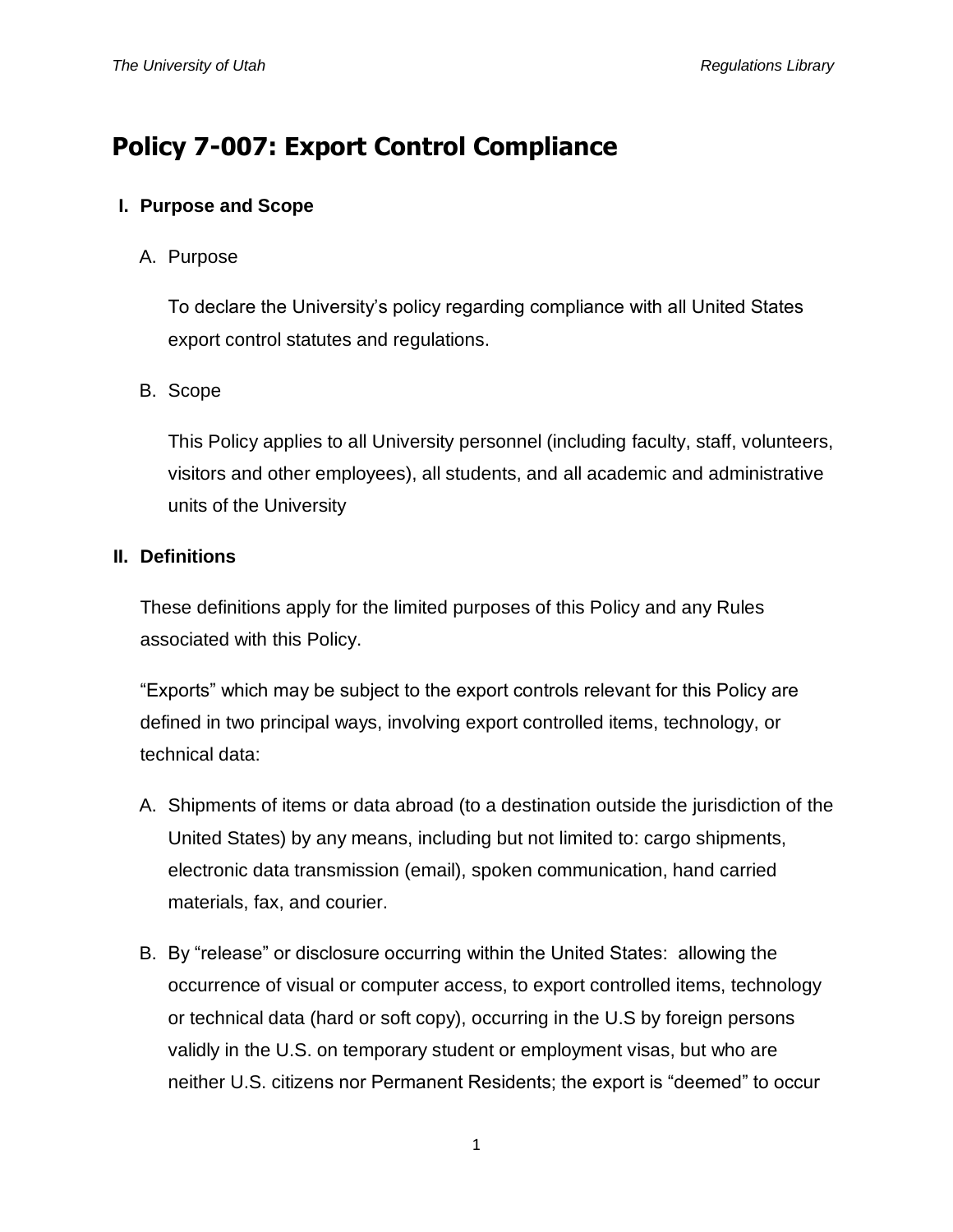# **Policy 7-007: Export Control Compliance**

## **I. Purpose and Scope**

## A. Purpose

To declare the University's policy regarding compliance with all United States export control statutes and regulations.

## B. Scope

This Policy applies to all University personnel (including faculty, staff, volunteers, visitors and other employees), all students, and all academic and administrative units of the University

### **II. Definitions**

These definitions apply for the limited purposes of this Policy and any Rules associated with this Policy.

"Exports" which may be subject to the export controls relevant for this Policy are defined in two principal ways, involving export controlled items, technology, or technical data:

- A. Shipments of items or data abroad (to a destination outside the jurisdiction of the United States) by any means, including but not limited to: cargo shipments, electronic data transmission (email), spoken communication, hand carried materials, fax, and courier.
- B. By "release" or disclosure occurring within the United States: allowing the occurrence of visual or computer access, to export controlled items, technology or technical data (hard or soft copy), occurring in the U.S by foreign persons validly in the U.S. on temporary student or employment visas, but who are neither U.S. citizens nor Permanent Residents; the export is "deemed" to occur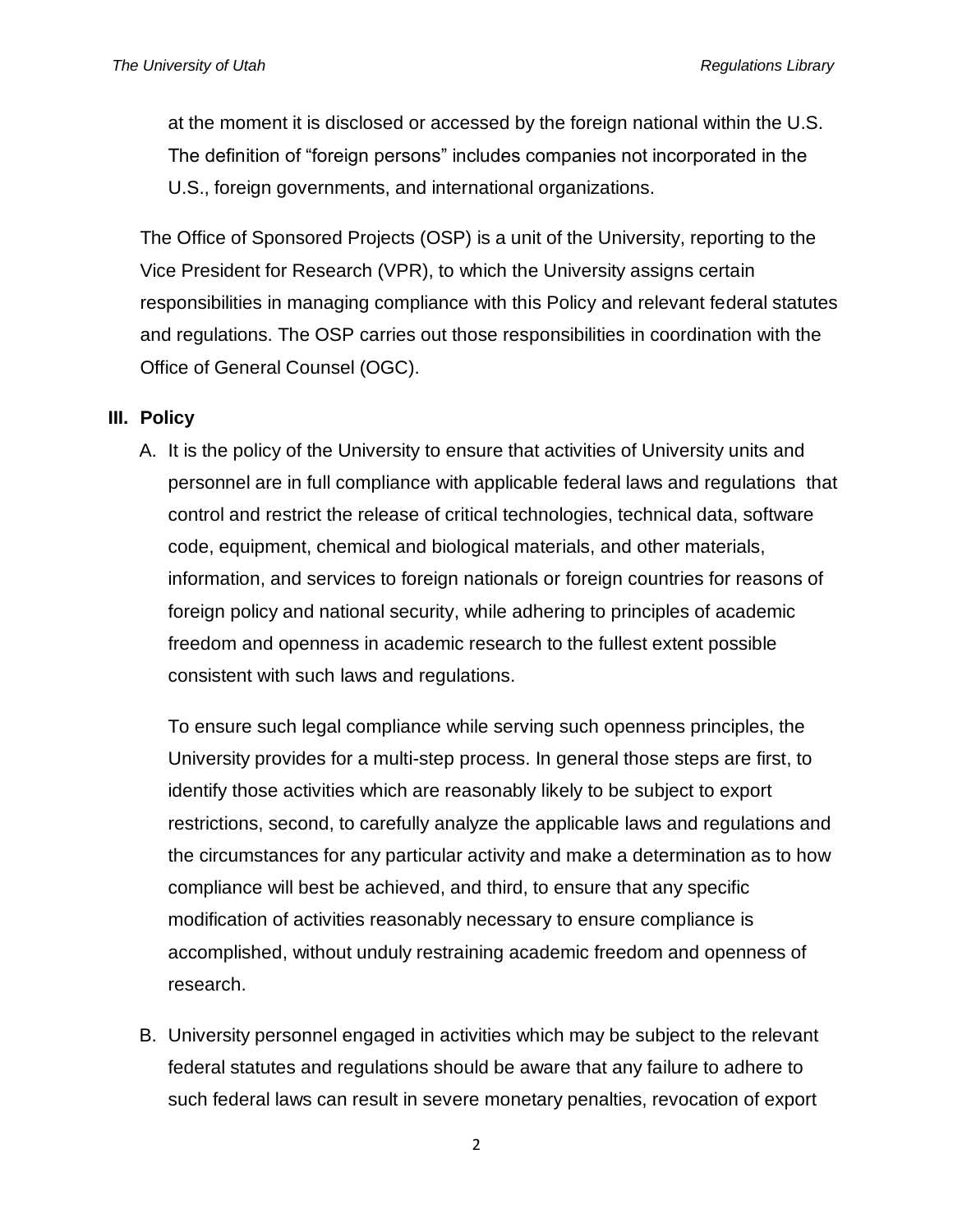at the moment it is disclosed or accessed by the foreign national within the U.S. The definition of "foreign persons" includes companies not incorporated in the U.S., foreign governments, and international organizations.

The Office of Sponsored Projects (OSP) is a unit of the University, reporting to the Vice President for Research (VPR), to which the University assigns certain responsibilities in managing compliance with this Policy and relevant federal statutes and regulations. The OSP carries out those responsibilities in coordination with the Office of General Counsel (OGC).

#### **III. Policy**

A. It is the policy of the University to ensure that activities of University units and personnel are in full compliance with applicable federal laws and regulations that control and restrict the release of critical technologies, technical data, software code, equipment, chemical and biological materials, and other materials, information, and services to foreign nationals or foreign countries for reasons of foreign policy and national security, while adhering to principles of academic freedom and openness in academic research to the fullest extent possible consistent with such laws and regulations.

To ensure such legal compliance while serving such openness principles, the University provides for a multi-step process. In general those steps are first, to identify those activities which are reasonably likely to be subject to export restrictions, second, to carefully analyze the applicable laws and regulations and the circumstances for any particular activity and make a determination as to how compliance will best be achieved, and third, to ensure that any specific modification of activities reasonably necessary to ensure compliance is accomplished, without unduly restraining academic freedom and openness of research.

B. University personnel engaged in activities which may be subject to the relevant federal statutes and regulations should be aware that any failure to adhere to such federal laws can result in severe monetary penalties, revocation of export

2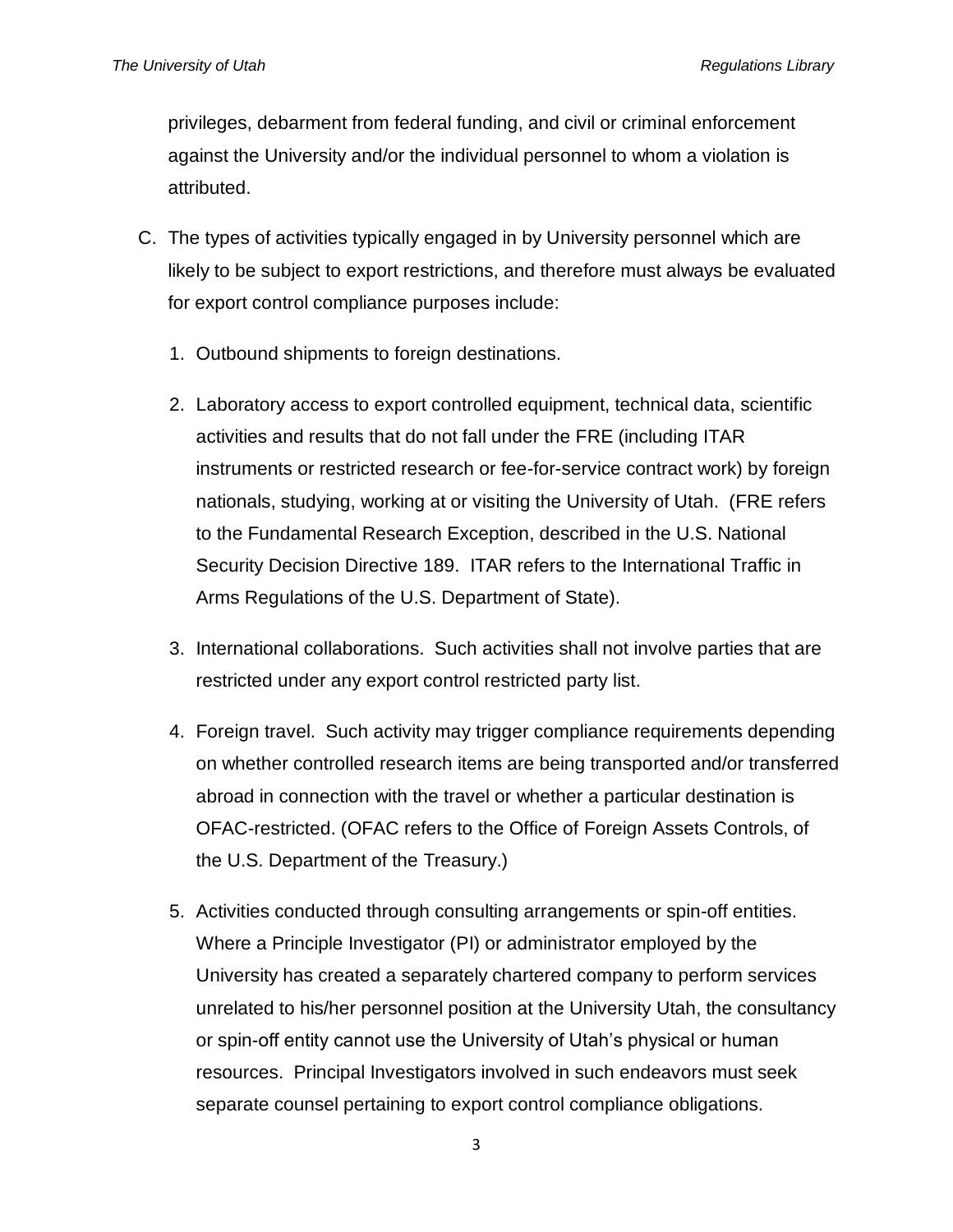privileges, debarment from federal funding, and civil or criminal enforcement against the University and/or the individual personnel to whom a violation is attributed.

- C. The types of activities typically engaged in by University personnel which are likely to be subject to export restrictions, and therefore must always be evaluated for export control compliance purposes include:
	- 1. Outbound shipments to foreign destinations.
	- 2. Laboratory access to export controlled equipment, technical data, scientific activities and results that do not fall under the FRE (including ITAR instruments or restricted research or fee-for-service contract work) by foreign nationals, studying, working at or visiting the University of Utah. (FRE refers to the Fundamental Research Exception, described in the U.S. National Security Decision Directive 189. ITAR refers to the International Traffic in Arms Regulations of the U.S. Department of State).
	- 3. International collaborations. Such activities shall not involve parties that are restricted under any export control restricted party list.
	- 4. Foreign travel. Such activity may trigger compliance requirements depending on whether controlled research items are being transported and/or transferred abroad in connection with the travel or whether a particular destination is OFAC-restricted. (OFAC refers to the Office of Foreign Assets Controls, of the U.S. Department of the Treasury.)
	- 5. Activities conducted through consulting arrangements or spin-off entities. Where a Principle Investigator (PI) or administrator employed by the University has created a separately chartered company to perform services unrelated to his/her personnel position at the University Utah, the consultancy or spin-off entity cannot use the University of Utah's physical or human resources. Principal Investigators involved in such endeavors must seek separate counsel pertaining to export control compliance obligations.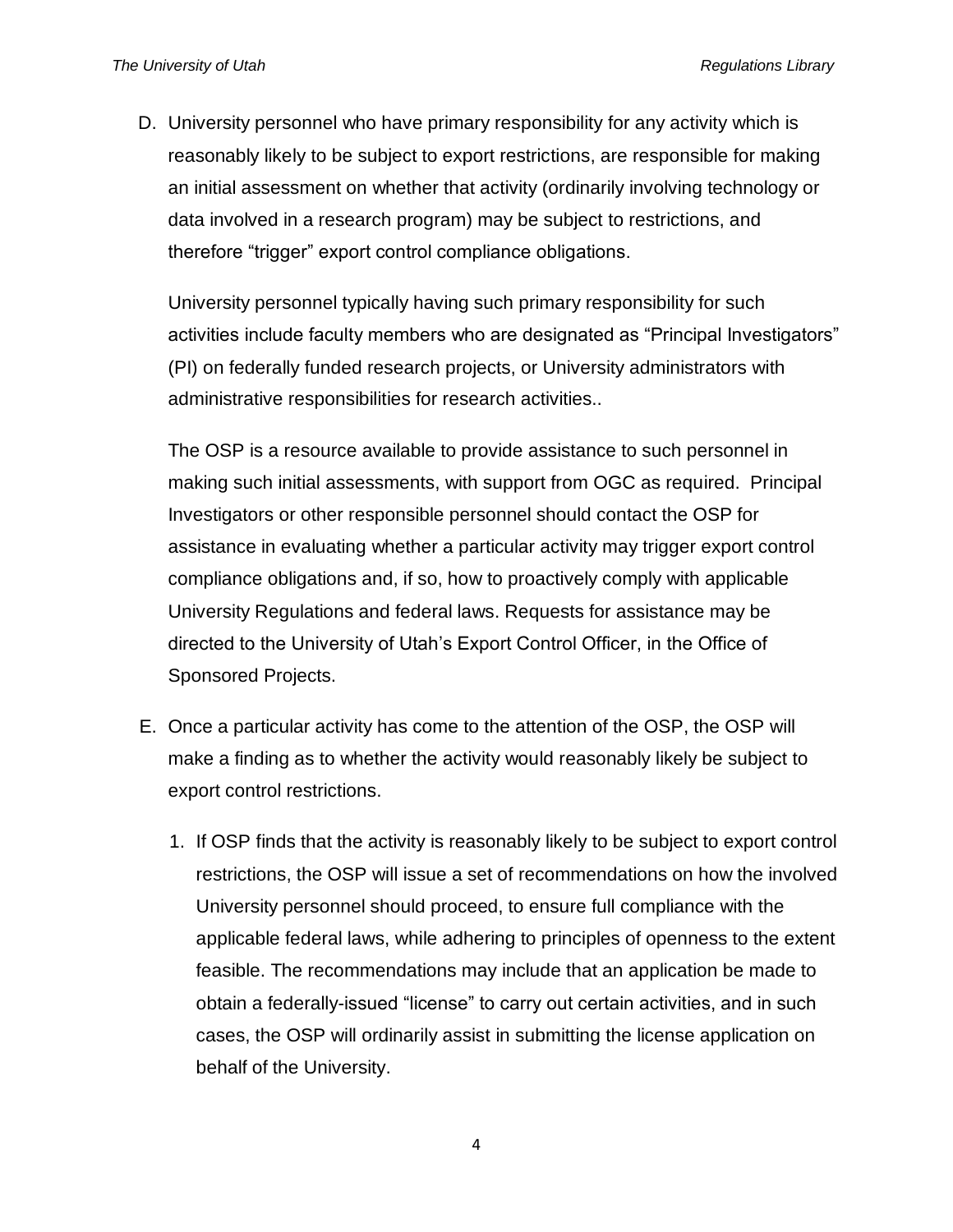D. University personnel who have primary responsibility for any activity which is reasonably likely to be subject to export restrictions, are responsible for making an initial assessment on whether that activity (ordinarily involving technology or data involved in a research program) may be subject to restrictions, and therefore "trigger" export control compliance obligations.

University personnel typically having such primary responsibility for such activities include faculty members who are designated as "Principal Investigators" (PI) on federally funded research projects, or University administrators with administrative responsibilities for research activities..

The OSP is a resource available to provide assistance to such personnel in making such initial assessments, with support from OGC as required. Principal Investigators or other responsible personnel should contact the OSP for assistance in evaluating whether a particular activity may trigger export control compliance obligations and, if so, how to proactively comply with applicable University Regulations and federal laws. Requests for assistance may be directed to the University of Utah's Export Control Officer, in the Office of Sponsored Projects.

- E. Once a particular activity has come to the attention of the OSP, the OSP will make a finding as to whether the activity would reasonably likely be subject to export control restrictions.
	- 1. If OSP finds that the activity is reasonably likely to be subject to export control restrictions, the OSP will issue a set of recommendations on how the involved University personnel should proceed, to ensure full compliance with the applicable federal laws, while adhering to principles of openness to the extent feasible. The recommendations may include that an application be made to obtain a federally-issued "license" to carry out certain activities, and in such cases, the OSP will ordinarily assist in submitting the license application on behalf of the University.

4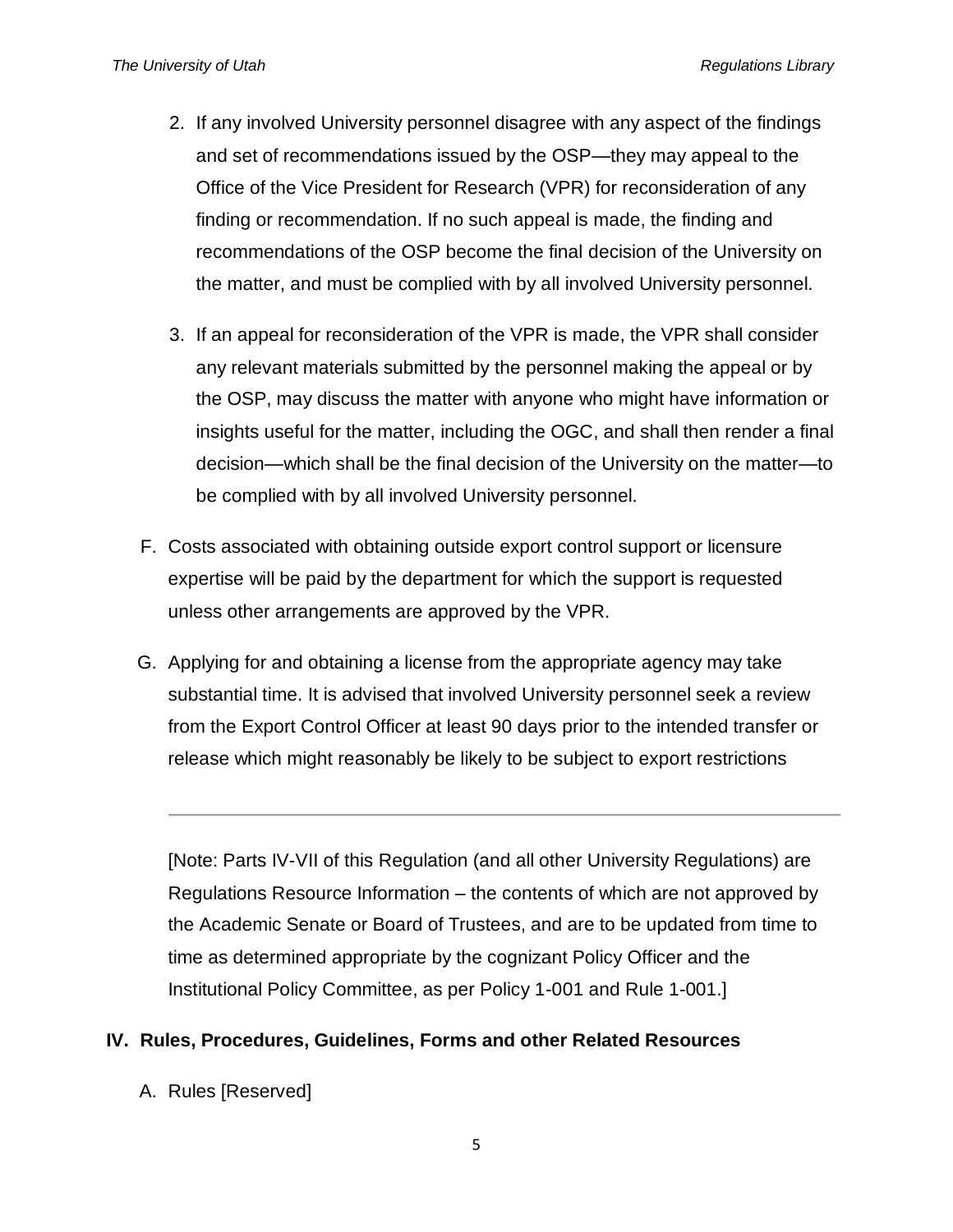- 2. If any involved University personnel disagree with any aspect of the findings and set of recommendations issued by the OSP—they may appeal to the Office of the Vice President for Research (VPR) for reconsideration of any finding or recommendation. If no such appeal is made, the finding and recommendations of the OSP become the final decision of the University on the matter, and must be complied with by all involved University personnel.
- 3. If an appeal for reconsideration of the VPR is made, the VPR shall consider any relevant materials submitted by the personnel making the appeal or by the OSP, may discuss the matter with anyone who might have information or insights useful for the matter, including the OGC, and shall then render a final decision—which shall be the final decision of the University on the matter—to be complied with by all involved University personnel.
- F. Costs associated with obtaining outside export control support or licensure expertise will be paid by the department for which the support is requested unless other arrangements are approved by the VPR.
- G. Applying for and obtaining a license from the appropriate agency may take substantial time. It is advised that involved University personnel seek a review from the Export Control Officer at least 90 days prior to the intended transfer or release which might reasonably be likely to be subject to export restrictions

[Note: Parts IV-VII of this Regulation (and all other University Regulations) are Regulations Resource Information – the contents of which are not approved by the Academic Senate or Board of Trustees, and are to be updated from time to time as determined appropriate by the cognizant Policy Officer and the Institutional Policy Committee, as per Policy 1-001 and Rule 1-001.]

## **IV. Rules, Procedures, Guidelines, Forms and other Related Resources**

A. Rules [Reserved]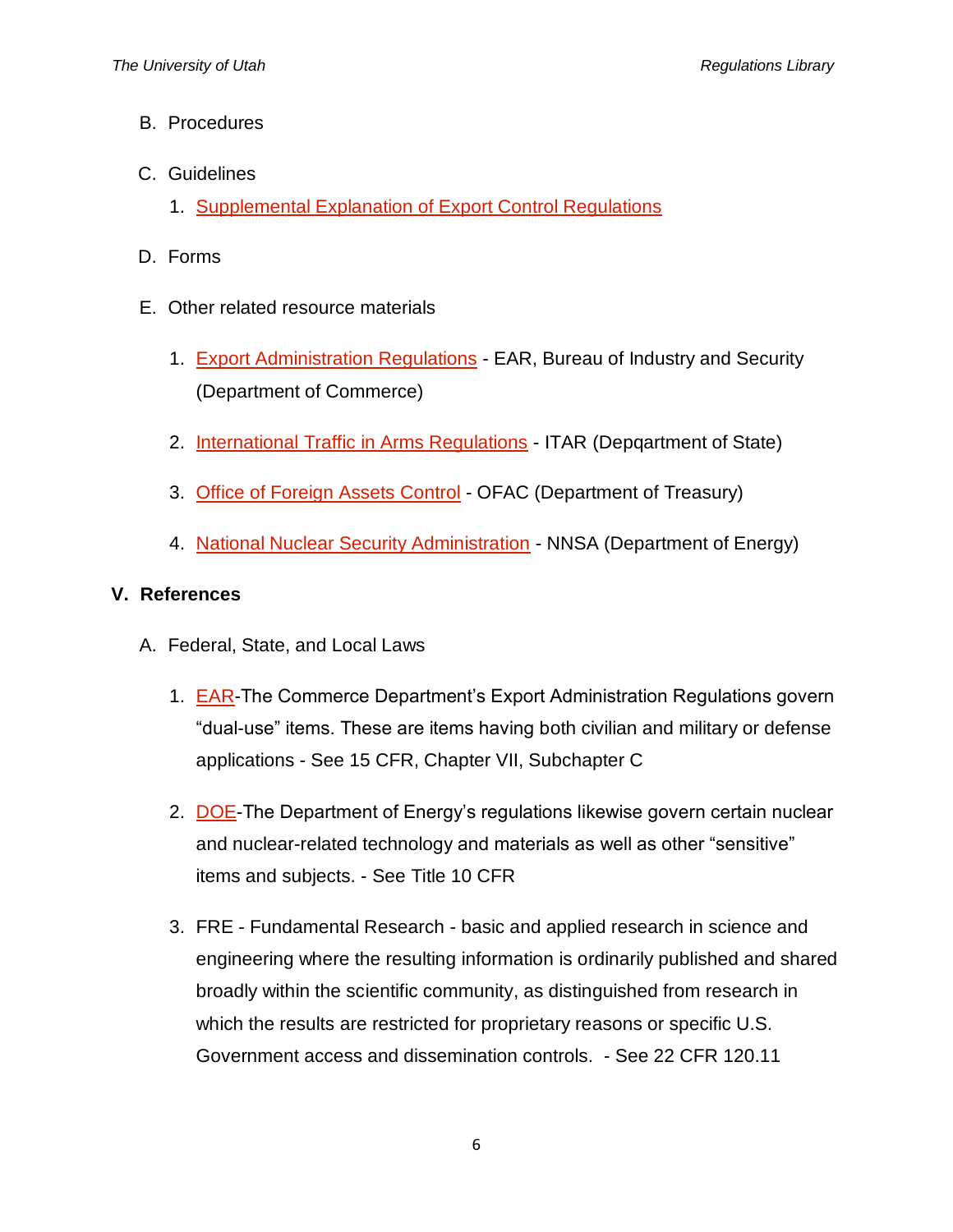- B. Procedures
- C. Guidelines
	- 1. [Supplemental Explanation of Export Control Regulations](http://osp.utah.edu/policies/export-controls.php)
- D. Forms
- E. Other related resource materials
	- 1. [Export Administration Regulations](http://www.bis.doc.gov/) EAR, Bureau of Industry and Security (Department of Commerce)
	- 2. [International Traffic in Arms Regulations](http://www.pmddtc.state.gov/regulations_laws/itar.html) ITAR (Depgartment of State)
	- 3. [Office of Foreign Assets Control](https://www.treasury.gov/resource-center/sanctions/Pages/default.aspx) OFAC (Department of Treasury)
	- 4. [National Nuclear Security Administration](http://nnsa.energy.gov/aboutus/ourprograms/nonproliferation-0/npac) NNSA (Department of Energy)

## **V. References**

- A. Federal, State, and Local Laws
	- 1. [EAR-](https://www.bis.doc.gov/index.php/regulations/export-administration-regulations-ear)The Commerce Department's Export Administration Regulations govern "dual-use" items. These are items having both civilian and military or defense applications - See 15 CFR, Chapter VII, Subchapter C
	- 2. [DOE-](http://www.energy.gov/ne/office-nuclear-energy)The Department of Energy's regulations likewise govern certain nuclear and nuclear-related technology and materials as well as other "sensitive" items and subjects. - See Title 10 CFR
	- 3. FRE Fundamental Research basic and applied research in science and engineering where the resulting information is ordinarily published and shared broadly within the scientific community, as distinguished from research in which the results are restricted for proprietary reasons or specific U.S. Government access and dissemination controls. - See 22 CFR 120.11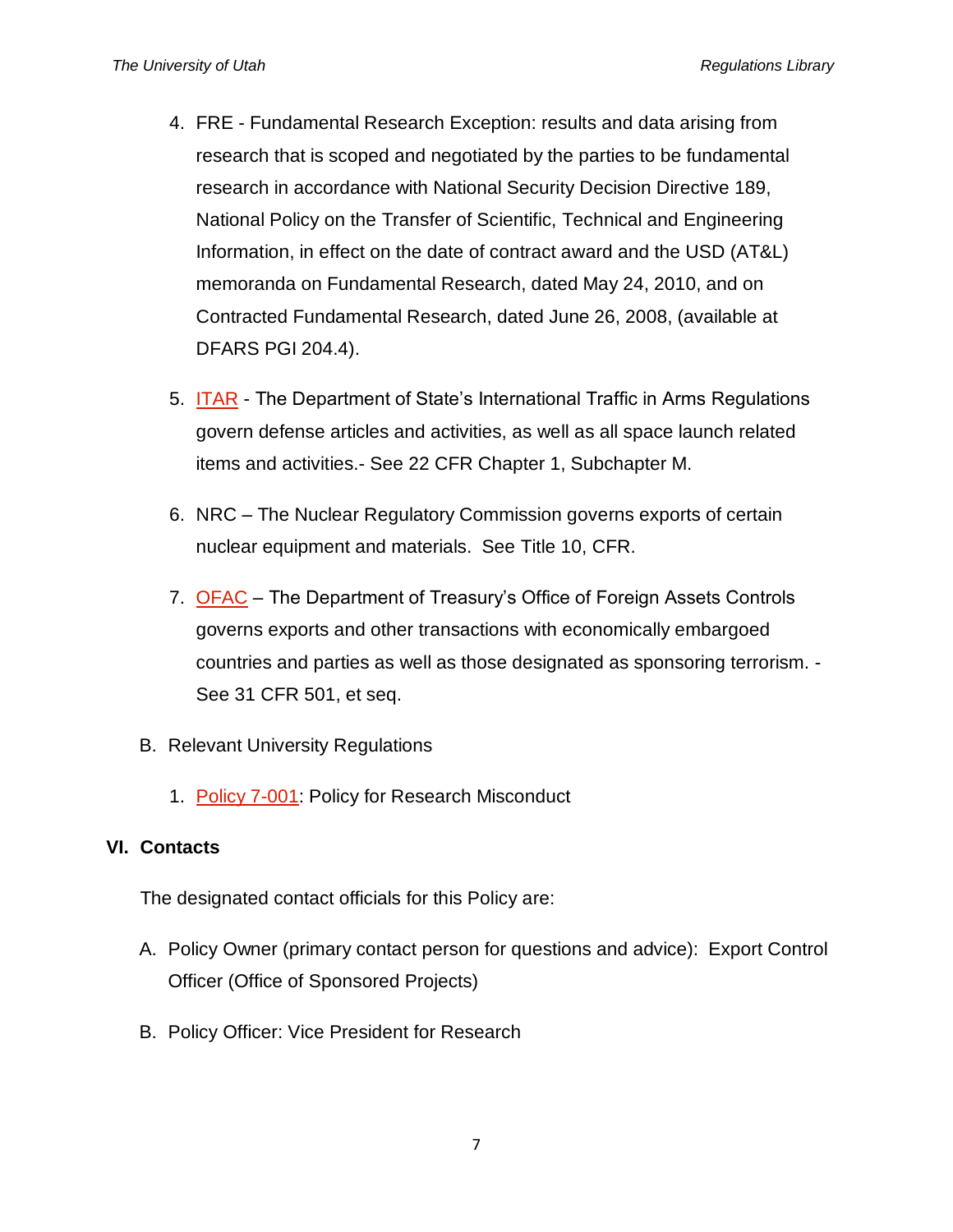- 4. FRE Fundamental Research Exception: results and data arising from research that is scoped and negotiated by the parties to be fundamental research in accordance with National Security Decision Directive 189, National Policy on the Transfer of Scientific, Technical and Engineering Information, in effect on the date of contract award and the USD (AT&L) memoranda on Fundamental Research, dated May 24, 2010, and on Contracted Fundamental Research, dated June 26, 2008, (available at DFARS PGI 204.4).
- 5. [ITAR](https://www.pmddtc.state.gov/regulations_laws/itar.html) The Department of State's International Traffic in Arms Regulations govern defense articles and activities, as well as all space launch related items and activities.- See 22 CFR Chapter 1, Subchapter M.
- 6. NRC The Nuclear Regulatory Commission governs exports of certain nuclear equipment and materials. See Title 10, CFR.
- 7. [OFAC](http://www.treasury.gov/resource-center/sanctions/pages/default.aspx) The Department of Treasury's Office of Foreign Assets Controls governs exports and other transactions with economically embargoed countries and parties as well as those designated as sponsoring terrorism. - See 31 CFR 501, et seq.
- B. Relevant University Regulations
	- 1. [Policy 7-001:](http://regulations.utah.edu/research/7-001.php) Policy for Research Misconduct

#### **VI. Contacts**

The designated contact officials for this Policy are:

- A. Policy Owner (primary contact person for questions and advice): Export Control Officer (Office of Sponsored Projects)
- B. Policy Officer: Vice President for Research